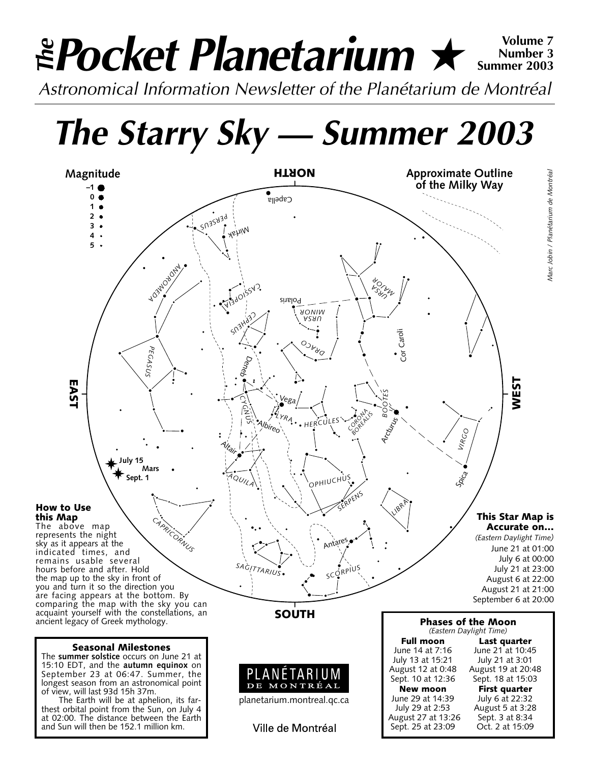# *Pocket Planetarium* ★ **Volume 7** *Astronomical Information Newsletter of the Planétarium de Montréal The* **Number 3 Summer 2003**

*The Starry Sky — Summer 2003*